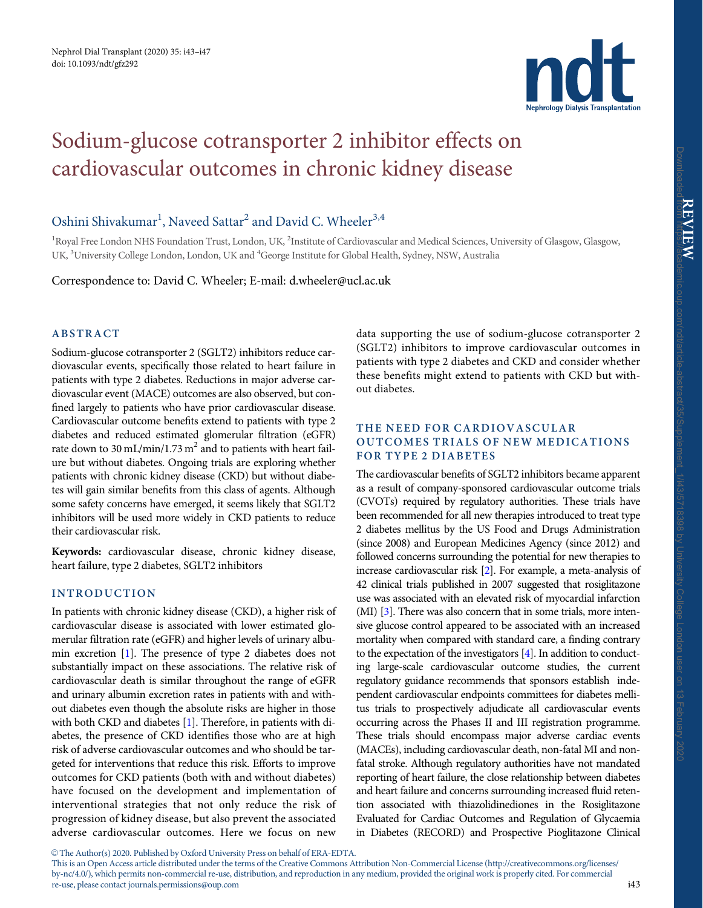

# <span id="page-0-0"></span>Sodium-glucose cotransporter 2 inhibitor effects on cardiovascular outcomes in chronic kidney disease

## Oshini Shivakumar<sup>1</sup>, Naveed Sattar<sup>2</sup> and David C. Wheeler<sup>3,4</sup>

<sup>1</sup>Royal Free London NHS Foundation Trust, London, UK, <sup>2</sup>Institute of Cardiovascular and Medical Sciences, University of Glasgow, Glasgow, UK, <sup>3</sup>University College London, London, UK and <sup>4</sup>George Institute for Global Health, Sydney, NSW, Australia

Correspondence to: David C. Wheeler; E-mail: d.wheeler@ucl.ac.uk

#### ABSTRACT

Sodium-glucose cotransporter 2 (SGLT2) inhibitors reduce cardiovascular events, specifically those related to heart failure in patients with type 2 diabetes. Reductions in major adverse cardiovascular event (MACE) outcomes are also observed, but confined largely to patients who have prior cardiovascular disease. Cardiovascular outcome benefits extend to patients with type 2 diabetes and reduced estimated glomerular filtration (eGFR) rate down to 30 mL/min/1.73 m<sup>2</sup> and to patients with heart failure but without diabetes. Ongoing trials are exploring whether patients with chronic kidney disease (CKD) but without diabetes will gain similar benefits from this class of agents. Although some safety concerns have emerged, it seems likely that SGLT2 inhibitors will be used more widely in CKD patients to reduce their cardiovascular risk.

Keywords: cardiovascular disease, chronic kidney disease, heart failure, type 2 diabetes, SGLT2 inhibitors

#### INTRODUCTION

In patients with chronic kidney disease (CKD), a higher risk of cardiovascular disease is associated with lower estimated glomerular filtration rate (eGFR) and higher levels of urinary albumin excretion [[1](#page-3-0)]. The presence of type 2 diabetes does not substantially impact on these associations. The relative risk of cardiovascular death is similar throughout the range of eGFR and urinary albumin excretion rates in patients with and without diabetes even though the absolute risks are higher in those with both CKD and diabetes [\[1](#page-3-0)]. Therefore, in patients with diabetes, the presence of CKD identifies those who are at high risk of adverse cardiovascular outcomes and who should be targeted for interventions that reduce this risk. Efforts to improve outcomes for CKD patients (both with and without diabetes) have focused on the development and implementation of interventional strategies that not only reduce the risk of progression of kidney disease, but also prevent the associated adverse cardiovascular outcomes. Here we focus on new

data supporting the use of sodium-glucose cotransporter 2 (SGLT2) inhibitors to improve cardiovascular outcomes in patients with type 2 diabetes and CKD and consider whether these benefits might extend to patients with CKD but without diabetes.

#### THE NEED FOR CARDIOVASCULAR OUTCOMES TRIALS OF NEW MEDICATIONS FOR TYPE 2 DIABETES

The cardiovascular benefits of SGLT2 inhibitors became apparent as a result of company-sponsored cardiovascular outcome trials (CVOTs) required by regulatory authorities. These trials have been recommended for all new therapies introduced to treat type 2 diabetes mellitus by the US Food and Drugs Administration (since 2008) and European Medicines Agency (since 2012) and followed concerns surrounding the potential for new therapies to increase cardiovascular risk [\[2\]](#page-3-0). For example, a meta-analysis of 42 clinical trials published in 2007 suggested that rosiglitazone use was associated with an elevated risk of myocardial infarction (MI) [\[3](#page-3-0)]. There was also concern that in some trials, more intensive glucose control appeared to be associated with an increased mortality when compared with standard care, a finding contrary to the expectation of the investigators [\[4\]](#page-3-0). In addition to conducting large-scale cardiovascular outcome studies, the current regulatory guidance recommends that sponsors establish independent cardiovascular endpoints committees for diabetes mellitus trials to prospectively adjudicate all cardiovascular events occurring across the Phases II and III registration programme. These trials should encompass major adverse cardiac events (MACEs), including cardiovascular death, non-fatal MI and nonfatal stroke. Although regulatory authorities have not mandated reporting of heart failure, the close relationship between diabetes and heart failure and concerns surrounding increased fluid retention associated with thiazolidinediones in the Rosiglitazone Evaluated for Cardiac Outcomes and Regulation of Glycaemia in Diabetes (RECORD) and Prospective Pioglitazone Clinical

Downloaded from https://academic.oup.com/ndt/article-abstract/35/Supplement\_1/i43/5718398 by University College London user on 13 February 2020

 $\odot$  The Author(s) 2020. Published by Oxford University Press on behalf of ERA-EDTA.

This is an Open Access article distributed under the terms of the Creative Commons Attribution Non-Commercial License (http://creativecommons.org/licenses/ by-nc/4.0/), which permits non-commercial re-use, distribution, and reproduction in any medium, provided the original work is properly cited. For commercial re-use, please contact journals.permissions@oup.com i43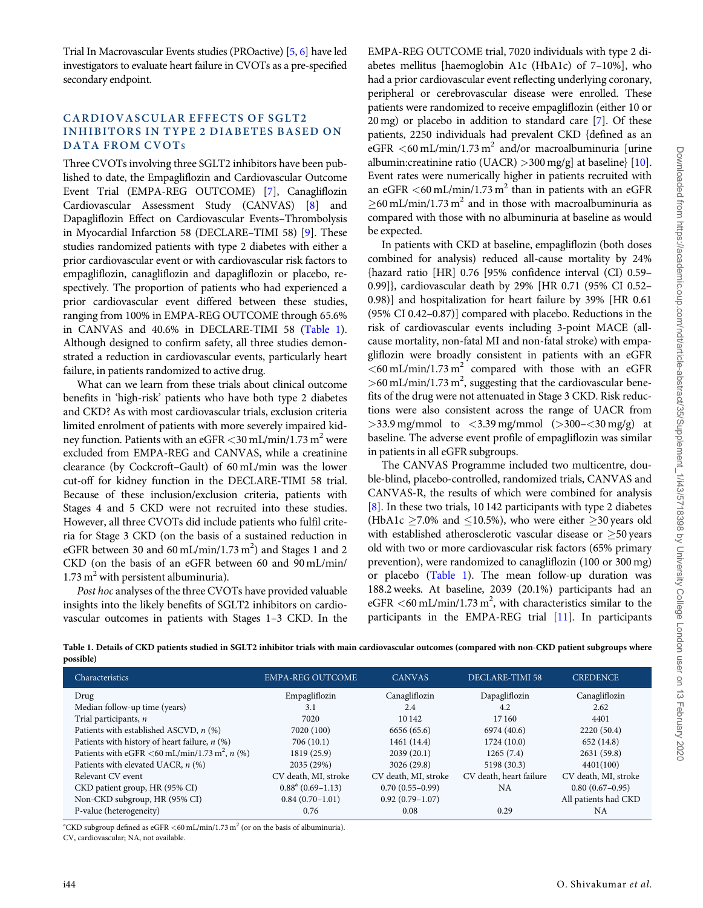<span id="page-1-0"></span>Trial In Macrovascular Events studies (PROactive) [\[5,](#page-3-0) [6\]](#page-4-0) have led investigators to evaluate heart failure in CVOTs as a pre-specified secondary endpoint.

#### CARDIOVASCULAR EFFECTS OF SGLT2 INHIBITORS IN TYPE 2 DIABETES BASED ON DATA FROM CVOTS

Three CVOTs involving three SGLT2 inhibitors have been published to date, the Empagliflozin and Cardiovascular Outcome Event Trial (EMPA-REG OUTCOME) [\[7\]](#page-4-0), Canagliflozin Cardiovascular Assessment Study (CANVAS) [[8\]](#page-4-0) and Dapagliflozin Effect on Cardiovascular Events–Thrombolysis in Myocardial Infarction 58 (DECLARE–TIMI 58) [[9](#page-4-0)]. These studies randomized patients with type 2 diabetes with either a prior cardiovascular event or with cardiovascular risk factors to empagliflozin, canagliflozin and dapagliflozin or placebo, respectively. The proportion of patients who had experienced a prior cardiovascular event differed between these studies, ranging from 100% in EMPA-REG OUTCOME through 65.6% in CANVAS and 40.6% in DECLARE-TIMI 58 (Table 1). Although designed to confirm safety, all three studies demonstrated a reduction in cardiovascular events, particularly heart failure, in patients randomized to active drug.

What can we learn from these trials about clinical outcome benefits in 'high-risk' patients who have both type 2 diabetes and CKD? As with most cardiovascular trials, exclusion criteria limited enrolment of patients with more severely impaired kidney function. Patients with an eGFR  $\langle 30 \text{ mL/min}/1.73 \text{ m}^2$  were excluded from EMPA-REG and CANVAS, while a creatinine clearance (by Cockcroft–Gault) of 60 mL/min was the lower cut-off for kidney function in the DECLARE-TIMI 58 trial. Because of these inclusion/exclusion criteria, patients with Stages 4 and 5 CKD were not recruited into these studies. However, all three CVOTs did include patients who fulfil criteria for Stage 3 CKD (on the basis of a sustained reduction in eGFR between 30 and 60 mL/min/1.73  $m<sup>2</sup>$ ) and Stages 1 and 2 CKD (on the basis of an eGFR between 60 and 90 mL/min/  $1.73 \text{ m}^2$  with persistent albuminuria).

Post hoc analyses of the three CVOTs have provided valuable insights into the likely benefits of SGLT2 inhibitors on cardiovascular outcomes in patients with Stages 1–3 CKD. In the EMPA-REG OUTCOME trial, 7020 individuals with type 2 diabetes mellitus [haemoglobin A1c (HbA1c) of 7–10%], who had a prior cardiovascular event reflecting underlying coronary, peripheral or cerebrovascular disease were enrolled. These patients were randomized to receive empagliflozin (either 10 or 20 mg) or placebo in addition to standard care [[7](#page-4-0)]. Of these patients, 2250 individuals had prevalent CKD {defined as an eGFR  $\lt 60$  mL/min/1.73 m<sup>2</sup> and/or macroalbuminuria [urine] albumin:creatinine ratio (UACR) >300 mg/g] at baseline} [\[10](#page-4-0)]. Event rates were numerically higher in patients recruited with an eGFR  $\leq 60$  mL/min/1.73 m<sup>2</sup> than in patients with an eGFR  $\geq$ 60 mL/min/1.73 m<sup>2</sup> and in those with macroalbuminuria as compared with those with no albuminuria at baseline as would be expected.

In patients with CKD at baseline, empagliflozin (both doses combined for analysis) reduced all-cause mortality by 24% {hazard ratio [HR] 0.76 [95% confidence interval (CI) 0.59– 0.99]}, cardiovascular death by 29% [HR 0.71 (95% CI 0.52– 0.98)] and hospitalization for heart failure by 39% [HR 0.61 (95% CI 0.42–0.87)] compared with placebo. Reductions in the risk of cardiovascular events including 3-point MACE (allcause mortality, non-fatal MI and non-fatal stroke) with empagliflozin were broadly consistent in patients with an eGFR  $<$  60 mL/min/1.73 m<sup>2</sup> compared with those with an eGFR  $>$ 60 mL/min/1.73 m<sup>2</sup>, suggesting that the cardiovascular benefits of the drug were not attenuated in Stage 3 CKD. Risk reductions were also consistent across the range of UACR from  $>$ 33.9 mg/mmol to  $<$ 3.39 mg/mmol ( $>$ 300– $<$ 30 mg/g) at baseline. The adverse event profile of empagliflozin was similar in patients in all eGFR subgroups.

The CANVAS Programme included two multicentre, double-blind, placebo-controlled, randomized trials, CANVAS and CANVAS-R, the results of which were combined for analysis [[8\]](#page-4-0). In these two trials, 10 142 participants with type 2 diabetes (HbA1c  $\geq$ 7.0% and  $\leq$ 10.5%), who were either  $\geq$ 30 years old with established atherosclerotic vascular disease or  $\geq$  50 years old with two or more cardiovascular risk factors (65% primary prevention), were randomized to canagliflozin (100 or 300 mg) or placebo (Table 1). The mean follow-up duration was 188.2 weeks. At baseline, 2039 (20.1%) participants had an eGFR  $<$  60 mL/min/1.73 m<sup>2</sup>, with characteristics similar to the participants in the EMPA-REG trial [[11](#page-4-0)]. In participants

| Table 1. Details of CKD patients studied in SGLT2 inhibitor trials with main cardiovascular outcomes (compared with non-CKD patient subgroups where |  |  |
|-----------------------------------------------------------------------------------------------------------------------------------------------------|--|--|
| possible)                                                                                                                                           |  |  |

| Characteristics                                           | <b>EMPA-REG OUTCOME</b> | <b>CANVAS</b>        | DECLARE-TIMI 58         | <b>CREDENCE</b>      |
|-----------------------------------------------------------|-------------------------|----------------------|-------------------------|----------------------|
| Drug                                                      | Empagliflozin           | Canagliflozin        | Dapagliflozin           | Canagliflozin        |
| Median follow-up time (years)                             | 3.1                     | 2.4                  | 4.2                     | 2.62                 |
| Trial participants, n                                     | 7020                    | 10 142               | 17 160                  | 4401                 |
| Patients with established ASCVD, $n$ (%)                  | 7020 (100)              | 6656 (65.6)          | 6974 (40.6)             | 2220 (50.4)          |
| Patients with history of heart failure, $n$ (%)           | 706(10.1)               | 1461 (14.4)          | 1724(10.0)              | 652 (14.8)           |
| Patients with eGFR <60 mL/min/1.73 m <sup>2</sup> , n (%) | 1819 (25.9)             | 2039(20.1)           | 1265(7.4)               | 2631 (59.8)          |
| Patients with elevated UACR, $n$ (%)                      | 2035 (29%)              | 3026 (29.8)          | 5198 (30.3)             | 4401(100)            |
| Relevant CV event                                         | CV death, MI, stroke    | CV death, MI, stroke | CV death, heart failure | CV death, MI, stroke |
| CKD patient group, HR (95% CI)                            | $0.88^a (0.69 - 1.13)$  | $0.70(0.55-0.99)$    | <b>NA</b>               | $0.80(0.67-0.95)$    |
| Non-CKD subgroup, HR (95% CI)                             | $0.84(0.70-1.01)$       | $0.92(0.79-1.07)$    |                         | All patients had CKD |
| P-value (heterogeneity)                                   | 0.76                    | 0.08                 | 0.29                    | NA                   |

<sup>a</sup>CKD subgroup defined as eGFR <60 mL/min/1.73 m<sup>2</sup> (or on the basis of albuminuria). CV, cardiovascular; NA, not available.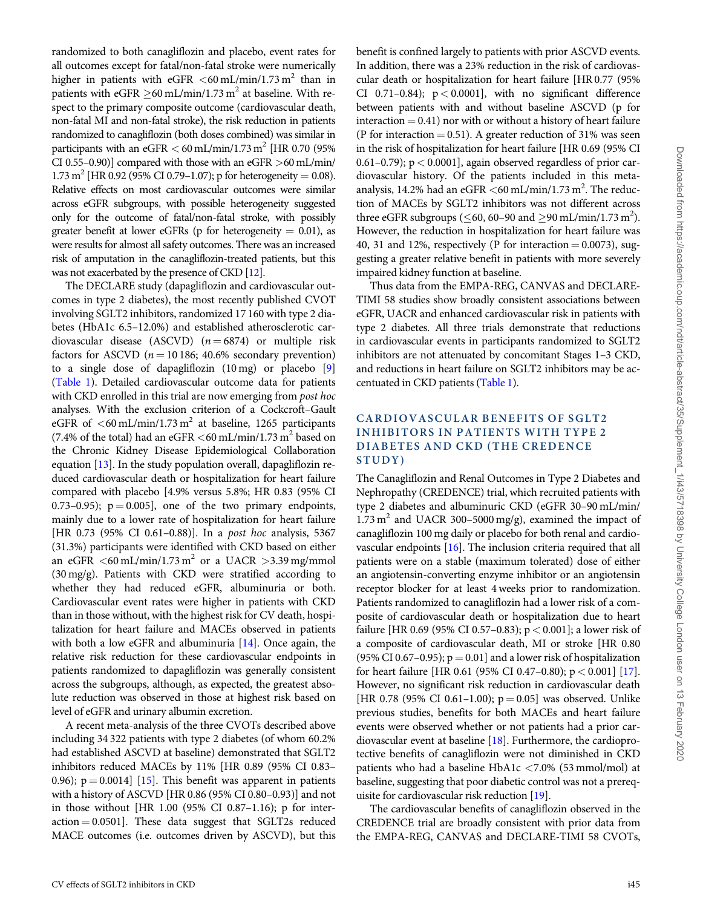<span id="page-2-0"></span>randomized to both canagliflozin and placebo, event rates for all outcomes except for fatal/non-fatal stroke were numerically higher in patients with eGFR  $\lt$  60 mL/min/1.73 m<sup>2</sup> than in patients with eGFR  $\geq$  60 mL/min/1.73 m<sup>2</sup> at baseline. With respect to the primary composite outcome (cardiovascular death, non-fatal MI and non-fatal stroke), the risk reduction in patients randomized to canagliflozin (both doses combined) was similar in participants with an eGFR  $<$  60 mL/min/1.73 m<sup>2</sup> [HR 0.70 (95%) CI 0.55–0.90)] compared with those with an eGFR >60 mL/min/ 1.73 m<sup>2</sup> [HR 0.92 (95% CI 0.79–1.07); p for heterogeneity = 0.08). Relative effects on most cardiovascular outcomes were similar across eGFR subgroups, with possible heterogeneity suggested only for the outcome of fatal/non-fatal stroke, with possibly greater benefit at lower eGFRs (p for heterogeneity  $= 0.01$ ), as were results for almost all safety outcomes. There was an increased risk of amputation in the canagliflozin-treated patients, but this was not exacerbated by the presence of CKD [[12\]](#page-4-0).

The DECLARE study (dapagliflozin and cardiovascular outcomes in type 2 diabetes), the most recently published CVOT involving SGLT2 inhibitors, randomized 17 160 with type 2 diabetes (HbA1c 6.5–12.0%) and established atherosclerotic cardiovascular disease (ASCVD)  $(n = 6874)$  or multiple risk factors for ASCVD ( $n = 10186$ ; 40.6% secondary prevention) to a single dose of dapagliflozin (10 mg) or placebo [\[9](#page-4-0)] [\(Table 1](#page-1-0)). Detailed cardiovascular outcome data for patients with CKD enrolled in this trial are now emerging from *post hoc* analyses. With the exclusion criterion of a Cockcroft–Gault eGFR of  $\leq 60$  mL/min/1.73 m<sup>2</sup> at baseline, 1265 participants (7.4% of the total) had an eGFR  $<$  60 mL/min/1.73 m<sup>2</sup> based on the Chronic Kidney Disease Epidemiological Collaboration equation [\[13\]](#page-4-0). In the study population overall, dapagliflozin reduced cardiovascular death or hospitalization for heart failure compared with placebo [4.9% versus 5.8%; HR 0.83 (95% CI 0.73–0.95);  $p = 0.005$ ], one of the two primary endpoints, mainly due to a lower rate of hospitalization for heart failure [HR 0.73 (95% CI 0.61-0.88)]. In a post hoc analysis, 5367 (31.3%) participants were identified with CKD based on either an eGFR  $\leq 60 \text{ mL/min}/1.73 \text{ m}^2$  or a UACR  $> 3.39 \text{ mg/mmol}$ (30 mg/g). Patients with CKD were stratified according to whether they had reduced eGFR, albuminuria or both. Cardiovascular event rates were higher in patients with CKD than in those without, with the highest risk for CV death, hospitalization for heart failure and MACEs observed in patients with both a low eGFR and albuminuria  $[14]$ . Once again, the relative risk reduction for these cardiovascular endpoints in patients randomized to dapagliflozin was generally consistent across the subgroups, although, as expected, the greatest absolute reduction was observed in those at highest risk based on level of eGFR and urinary albumin excretion.

A recent meta-analysis of the three CVOTs described above including 34 322 patients with type 2 diabetes (of whom 60.2% had established ASCVD at baseline) demonstrated that SGLT2 inhibitors reduced MACEs by 11% [HR 0.89 (95% CI 0.83– 0.96);  $p = 0.0014$  [[15](#page-4-0)]. This benefit was apparent in patients with a history of ASCVD [HR 0.86 (95% CI 0.80–0.93)] and not in those without [HR 1.00 (95% CI 0.87–1.16); p for inter $action = 0.0501$ . These data suggest that SGLT2s reduced MACE outcomes (i.e. outcomes driven by ASCVD), but this benefit is confined largely to patients with prior ASCVD events. In addition, there was a 23% reduction in the risk of cardiovascular death or hospitalization for heart failure [HR 0.77 (95% CI 0.71-0.84);  $p < 0.0001$ ], with no significant difference between patients with and without baseline ASCVD (p for interaction  $= 0.41$ ) nor with or without a history of heart failure (P for interaction  $= 0.51$ ). A greater reduction of 31% was seen in the risk of hospitalization for heart failure [HR 0.69 (95% CI 0.61–0.79);  $p < 0.0001$ ], again observed regardless of prior cardiovascular history. Of the patients included in this metaanalysis, 14.2% had an eGFR  $<$  60 mL/min/1.73 m<sup>2</sup>. The reduction of MACEs by SGLT2 inhibitors was not different across three eGFR subgroups ( $\leq$ 60, 60–90 and  $\geq$ 90 mL/min/1.73 m<sup>2</sup>). However, the reduction in hospitalization for heart failure was 40, 31 and 12%, respectively (P for interaction  $= 0.0073$ ), suggesting a greater relative benefit in patients with more severely impaired kidney function at baseline.

Thus data from the EMPA-REG, CANVAS and DECLARE-TIMI 58 studies show broadly consistent associations between eGFR, UACR and enhanced cardiovascular risk in patients with type 2 diabetes. All three trials demonstrate that reductions in cardiovascular events in participants randomized to SGLT2 inhibitors are not attenuated by concomitant Stages 1–3 CKD, and reductions in heart failure on SGLT2 inhibitors may be accentuated in CKD patients [\(Table 1\)](#page-1-0).

#### CARDIOVASCULAR BENEFITS OF SGLT2 INHIBITORS IN PATIENTS WITH TYPE 2 DIABETES AND CKD (THE CREDENCE STUDY)

The Canagliflozin and Renal Outcomes in Type 2 Diabetes and Nephropathy (CREDENCE) trial, which recruited patients with type 2 diabetes and albuminuric CKD (eGFR 30–90 mL/min/  $1.73 \text{ m}^2$  and UACR 300-5000 mg/g), examined the impact of canagliflozin 100 mg daily or placebo for both renal and cardiovascular endpoints [\[16\]](#page-4-0). The inclusion criteria required that all patients were on a stable (maximum tolerated) dose of either an angiotensin-converting enzyme inhibitor or an angiotensin receptor blocker for at least 4 weeks prior to randomization. Patients randomized to canagliflozin had a lower risk of a composite of cardiovascular death or hospitalization due to heart failure [HR 0.69 (95% CI 0.57–0.83); p < 0.001]; a lower risk of a composite of cardiovascular death, MI or stroke [HR 0.80 (95% CI 0.67-0.95);  $p = 0.01$  and a lower risk of hospitalization for heart failure [HR 0.61 (95% CI 0.47–0.80);  $p < 0.001$  [\[17](#page-4-0)]. However, no significant risk reduction in cardiovascular death [HR 0.78 (95% CI 0.61–1.00);  $p = 0.05$ ] was observed. Unlike previous studies, benefits for both MACEs and heart failure events were observed whether or not patients had a prior cardiovascular event at baseline [[18](#page-4-0)]. Furthermore, the cardioprotective benefits of canagliflozin were not diminished in CKD patients who had a baseline HbA1c <7.0% (53 mmol/mol) at baseline, suggesting that poor diabetic control was not a prerequisite for cardiovascular risk reduction [\[19\]](#page-4-0).

The cardiovascular benefits of canagliflozin observed in the CREDENCE trial are broadly consistent with prior data from the EMPA-REG, CANVAS and DECLARE-TIMI 58 CVOTs,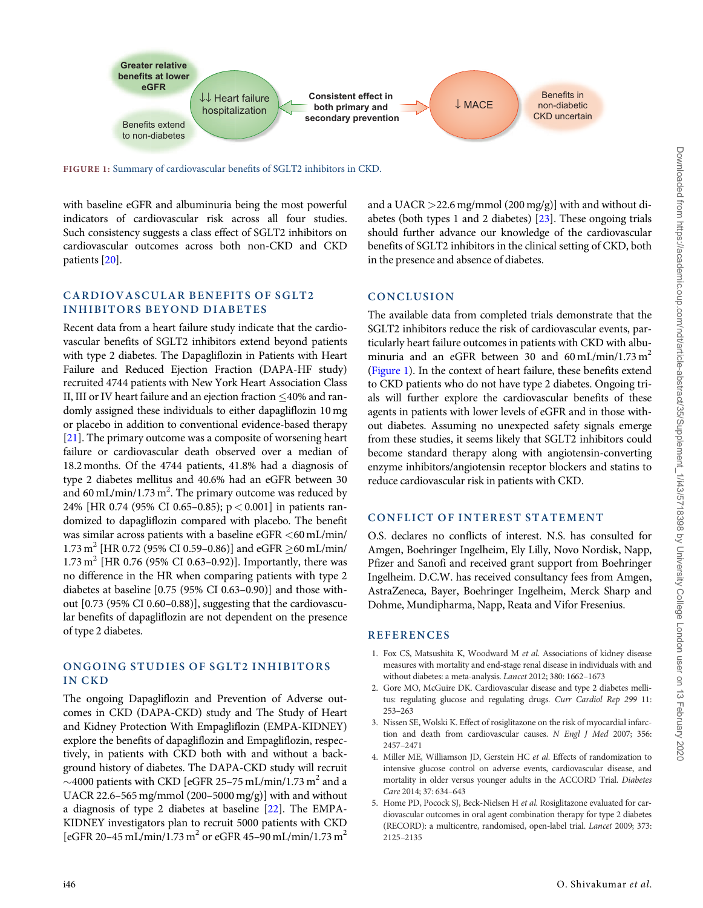<span id="page-3-0"></span>

FIGURE 1: Summary of cardiovascular benefits of SGLT2 inhibitors in CKD.

with baseline eGFR and albuminuria being the most powerful indicators of cardiovascular risk across all four studies. Such consistency suggests a class effect of SGLT2 inhibitors on cardiovascular outcomes across both non-CKD and CKD patients [\[20\]](#page-4-0).

CARDIOVASCULAR BENEFITS OF SGLT2 INHIBITORS BEYOND DIABETES

Recent data from a heart failure study indicate that the cardiovascular benefits of SGLT2 inhibitors extend beyond patients with type 2 diabetes. The Dapagliflozin in Patients with Heart Failure and Reduced Ejection Fraction (DAPA-HF study) recruited 4744 patients with New York Heart Association Class II, III or IV heart failure and an ejection fraction  $\leq$ 40% and randomly assigned these individuals to either dapagliflozin 10 mg or placebo in addition to conventional evidence-based therapy [\[21\]](#page-4-0). The primary outcome was a composite of worsening heart failure or cardiovascular death observed over a median of 18.2 months. Of the 4744 patients, 41.8% had a diagnosis of type 2 diabetes mellitus and 40.6% had an eGFR between 30 and 60 mL/min/1.73 m<sup>2</sup>. The primary outcome was reduced by 24% [HR 0.74 (95% CI 0.65–0.85); p < 0.001] in patients randomized to dapagliflozin compared with placebo. The benefit was similar across patients with a baseline  $e$ GFR  $\lt$  60 mL/min/  $1.73 \text{ m}^2$  [HR 0.72 (95% CI 0.59–0.86)] and eGFR  $\geq$  60 mL/min/  $1.73 \text{ m}^2$  [HR 0.76 (95% CI 0.63–0.92)]. Importantly, there was no difference in the HR when comparing patients with type 2 diabetes at baseline [0.75 (95% CI 0.63–0.90)] and those without [0.73 (95% CI 0.60–0.88)], suggesting that the cardiovascular benefits of dapagliflozin are not dependent on the presence of type 2 diabetes.

### ONGOING STUDIES OF SGLT2 INHIBITORS IN CKD

The ongoing Dapagliflozin and Prevention of Adverse outcomes in CKD (DAPA-CKD) study and The Study of Heart and Kidney Protection With Empagliflozin (EMPA-KIDNEY) explore the benefits of dapagliflozin and Empagliflozin, respectively, in patients with CKD both with and without a background history of diabetes. The DAPA-CKD study will recruit  $\sim$ 4000 patients with CKD [eGFR 25–75 mL/min/1.73 m<sup>2</sup> and a UACR 22.6–565 mg/mmol (200–5000 mg/g)] with and without a diagnosis of type 2 diabetes at baseline [\[22\]](#page-4-0). The EMPA-KIDNEY investigators plan to recruit 5000 patients with CKD [eGFR 20–45 mL/min/1.73 m<sup>2</sup> or eGFR 45–90 mL/min/1.73 m<sup>2</sup>

and a UACR >22.6 mg/mmol (200 mg/g)] with and without diabetes (both types 1 and 2 diabetes)  $\overline{23}$ . These ongoing trials should further advance our knowledge of the cardiovascular benefits of SGLT2 inhibitors in the clinical setting of CKD, both in the presence and absence of diabetes.

### **CONCLUSION**

The available data from completed trials demonstrate that the SGLT2 inhibitors reduce the risk of cardiovascular events, particularly heart failure outcomes in patients with CKD with albuminuria and an eGFR between 30 and 60 mL/min/1.73 m<sup>2</sup> (Figure 1). In the context of heart failure, these benefits extend to CKD patients who do not have type 2 diabetes. Ongoing trials will further explore the cardiovascular benefits of these agents in patients with lower levels of eGFR and in those without diabetes. Assuming no unexpected safety signals emerge from these studies, it seems likely that SGLT2 inhibitors could become standard therapy along with angiotensin-converting enzyme inhibitors/angiotensin receptor blockers and statins to reduce cardiovascular risk in patients with CKD.

#### CONFLICT OF INTEREST STATEMENT

O.S. declares no conflicts of interest. N.S. has consulted for Amgen, Boehringer Ingelheim, Ely Lilly, Novo Nordisk, Napp, Pfizer and Sanofi and received grant support from Boehringer Ingelheim. D.C.W. has received consultancy fees from Amgen, AstraZeneca, Bayer, Boehringer Ingelheim, Merck Sharp and Dohme, Mundipharma, Napp, Reata and Vifor Fresenius.

#### **REFERENCES**

- [1.](#page-0-0) Fox CS, Matsushita K, Woodward M et al. Associations of kidney disease measures with mortality and end-stage renal disease in individuals with and without diabetes: a meta-analysis. Lancet 2012; 380: 1662–1673
- [2.](#page-0-0) Gore MO, McGuire DK. Cardiovascular disease and type 2 diabetes mellitus: regulating glucose and regulating drugs. Curr Cardiol Rep 299 11: 253–263
- [3.](#page-0-0) Nissen SE, Wolski K. Effect of rosiglitazone on the risk of myocardial infarction and death from cardiovascular causes. N Engl J Med 2007; 356: 2457–2471
- [4.](#page-0-0) Miller ME, Williamson JD, Gerstein HC et al. Effects of randomization to intensive glucose control on adverse events, cardiovascular disease, and mortality in older versus younger adults in the ACCORD Trial. Diabetes Care 2014; 37: 634–643
- [5.](#page-1-0) Home PD, Pocock SJ, Beck-Nielsen H et al. Rosiglitazone evaluated for cardiovascular outcomes in oral agent combination therapy for type 2 diabetes (RECORD): a multicentre, randomised, open-label trial. Lancet 2009; 373: 2125–2135